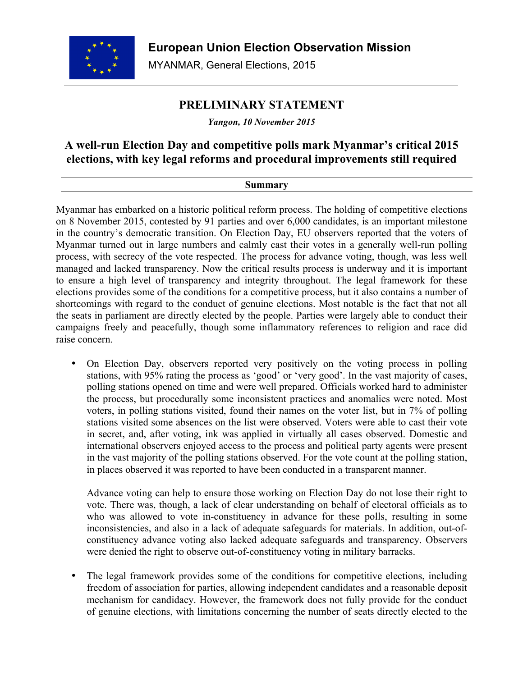

# **PRELIMINARY STATEMENT**

*Yangon, 10 November 2015*

## **A well-run Election Day and competitive polls mark Myanmar's critical 2015 elections, with key legal reforms and procedural improvements still required**

## **Summary**

Myanmar has embarked on a historic political reform process. The holding of competitive elections on 8 November 2015, contested by 91 parties and over 6,000 candidates, is an important milestone in the country's democratic transition. On Election Day, EU observers reported that the voters of Myanmar turned out in large numbers and calmly cast their votes in a generally well-run polling process, with secrecy of the vote respected. The process for advance voting, though, was less well managed and lacked transparency. Now the critical results process is underway and it is important to ensure a high level of transparency and integrity throughout. The legal framework for these elections provides some of the conditions for a competitive process, but it also contains a number of shortcomings with regard to the conduct of genuine elections. Most notable is the fact that not all the seats in parliament are directly elected by the people. Parties were largely able to conduct their campaigns freely and peacefully, though some inflammatory references to religion and race did raise concern.

• On Election Day, observers reported very positively on the voting process in polling stations, with 95% rating the process as 'good' or 'very good'. In the vast majority of cases, polling stations opened on time and were well prepared. Officials worked hard to administer the process, but procedurally some inconsistent practices and anomalies were noted. Most voters, in polling stations visited, found their names on the voter list, but in 7% of polling stations visited some absences on the list were observed. Voters were able to cast their vote in secret, and, after voting, ink was applied in virtually all cases observed. Domestic and international observers enjoyed access to the process and political party agents were present in the vast majority of the polling stations observed. For the vote count at the polling station, in places observed it was reported to have been conducted in a transparent manner.

Advance voting can help to ensure those working on Election Day do not lose their right to vote. There was, though, a lack of clear understanding on behalf of electoral officials as to who was allowed to vote in-constituency in advance for these polls, resulting in some inconsistencies, and also in a lack of adequate safeguards for materials. In addition, out-ofconstituency advance voting also lacked adequate safeguards and transparency. Observers were denied the right to observe out-of-constituency voting in military barracks.

• The legal framework provides some of the conditions for competitive elections, including freedom of association for parties, allowing independent candidates and a reasonable deposit mechanism for candidacy. However, the framework does not fully provide for the conduct of genuine elections, with limitations concerning the number of seats directly elected to the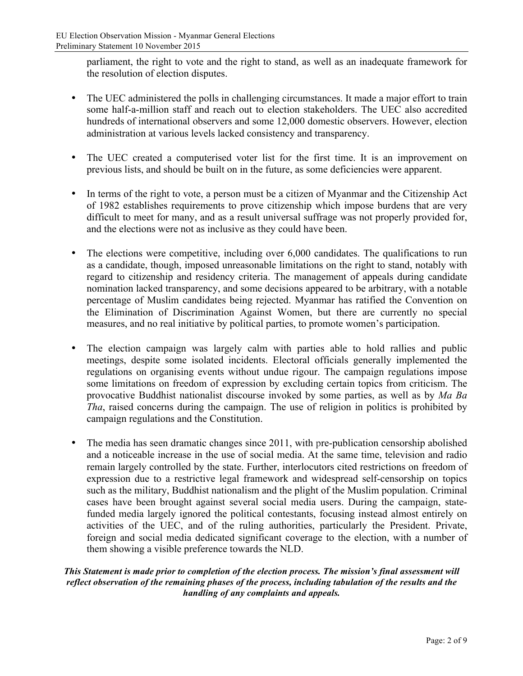parliament, the right to vote and the right to stand, as well as an inadequate framework for the resolution of election disputes.

- The UEC administered the polls in challenging circumstances. It made a major effort to train some half-a-million staff and reach out to election stakeholders. The UEC also accredited hundreds of international observers and some 12,000 domestic observers. However, election administration at various levels lacked consistency and transparency.
- The UEC created a computerised voter list for the first time. It is an improvement on previous lists, and should be built on in the future, as some deficiencies were apparent.
- In terms of the right to vote, a person must be a citizen of Myanmar and the Citizenship Act of 1982 establishes requirements to prove citizenship which impose burdens that are very difficult to meet for many, and as a result universal suffrage was not properly provided for, and the elections were not as inclusive as they could have been.
- The elections were competitive, including over 6,000 candidates. The qualifications to run as a candidate, though, imposed unreasonable limitations on the right to stand, notably with regard to citizenship and residency criteria. The management of appeals during candidate nomination lacked transparency, and some decisions appeared to be arbitrary, with a notable percentage of Muslim candidates being rejected. Myanmar has ratified the Convention on the Elimination of Discrimination Against Women, but there are currently no special measures, and no real initiative by political parties, to promote women's participation.
- The election campaign was largely calm with parties able to hold rallies and public meetings, despite some isolated incidents. Electoral officials generally implemented the regulations on organising events without undue rigour. The campaign regulations impose some limitations on freedom of expression by excluding certain topics from criticism. The provocative Buddhist nationalist discourse invoked by some parties, as well as by *Ma Ba Tha*, raised concerns during the campaign. The use of religion in politics is prohibited by campaign regulations and the Constitution.
- The media has seen dramatic changes since 2011, with pre-publication censorship abolished and a noticeable increase in the use of social media. At the same time, television and radio remain largely controlled by the state. Further, interlocutors cited restrictions on freedom of expression due to a restrictive legal framework and widespread self-censorship on topics such as the military, Buddhist nationalism and the plight of the Muslim population. Criminal cases have been brought against several social media users. During the campaign, statefunded media largely ignored the political contestants, focusing instead almost entirely on activities of the UEC, and of the ruling authorities, particularly the President. Private, foreign and social media dedicated significant coverage to the election, with a number of them showing a visible preference towards the NLD.

#### *This Statement is made prior to completion of the election process. The mission's final assessment will reflect observation of the remaining phases of the process, including tabulation of the results and the handling of any complaints and appeals.*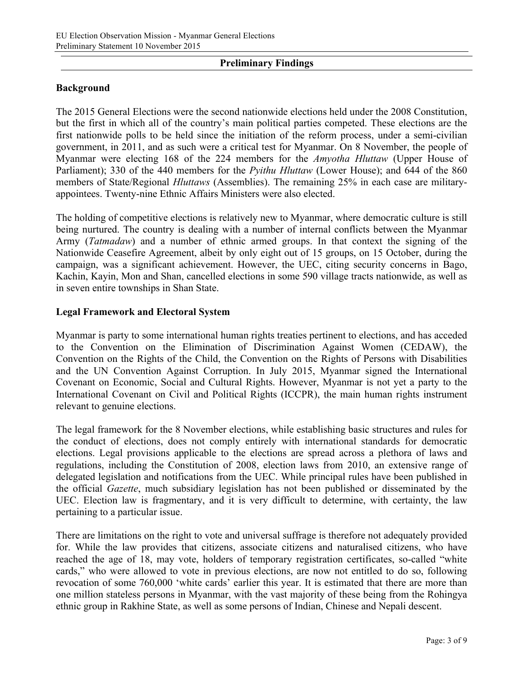### **Preliminary Findings**

#### **Background**

The 2015 General Elections were the second nationwide elections held under the 2008 Constitution, but the first in which all of the country's main political parties competed. These elections are the first nationwide polls to be held since the initiation of the reform process, under a semi-civilian government, in 2011, and as such were a critical test for Myanmar. On 8 November, the people of Myanmar were electing 168 of the 224 members for the *Amyotha Hluttaw* (Upper House of Parliament); 330 of the 440 members for the *Pyithu Hluttaw* (Lower House); and 644 of the 860 members of State/Regional *Hluttaws* (Assemblies). The remaining 25% in each case are militaryappointees. Twenty-nine Ethnic Affairs Ministers were also elected.

The holding of competitive elections is relatively new to Myanmar, where democratic culture is still being nurtured. The country is dealing with a number of internal conflicts between the Myanmar Army (*Tatmadaw*) and a number of ethnic armed groups. In that context the signing of the Nationwide Ceasefire Agreement, albeit by only eight out of 15 groups, on 15 October, during the campaign, was a significant achievement. However, the UEC, citing security concerns in Bago, Kachin, Kayin, Mon and Shan, cancelled elections in some 590 village tracts nationwide, as well as in seven entire townships in Shan State.

#### **Legal Framework and Electoral System**

Myanmar is party to some international human rights treaties pertinent to elections, and has acceded to the Convention on the Elimination of Discrimination Against Women (CEDAW), the Convention on the Rights of the Child, the Convention on the Rights of Persons with Disabilities and the UN Convention Against Corruption. In July 2015, Myanmar signed the International Covenant on Economic, Social and Cultural Rights. However, Myanmar is not yet a party to the International Covenant on Civil and Political Rights (ICCPR), the main human rights instrument relevant to genuine elections.

The legal framework for the 8 November elections, while establishing basic structures and rules for the conduct of elections, does not comply entirely with international standards for democratic elections. Legal provisions applicable to the elections are spread across a plethora of laws and regulations, including the Constitution of 2008, election laws from 2010, an extensive range of delegated legislation and notifications from the UEC. While principal rules have been published in the official *Gazette*, much subsidiary legislation has not been published or disseminated by the UEC. Election law is fragmentary, and it is very difficult to determine, with certainty, the law pertaining to a particular issue.

There are limitations on the right to vote and universal suffrage is therefore not adequately provided for. While the law provides that citizens, associate citizens and naturalised citizens, who have reached the age of 18, may vote, holders of temporary registration certificates, so-called "white cards," who were allowed to vote in previous elections, are now not entitled to do so, following revocation of some 760,000 'white cards' earlier this year. It is estimated that there are more than one million stateless persons in Myanmar, with the vast majority of these being from the Rohingya ethnic group in Rakhine State, as well as some persons of Indian, Chinese and Nepali descent.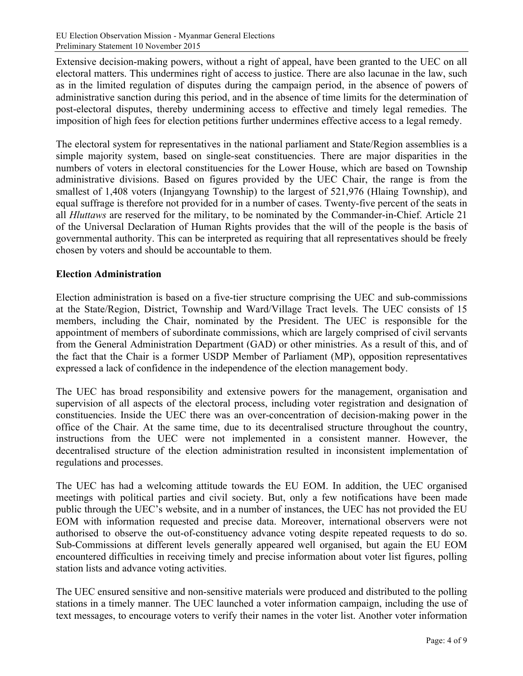Extensive decision-making powers, without a right of appeal, have been granted to the UEC on all electoral matters. This undermines right of access to justice. There are also lacunae in the law, such as in the limited regulation of disputes during the campaign period, in the absence of powers of administrative sanction during this period, and in the absence of time limits for the determination of post-electoral disputes, thereby undermining access to effective and timely legal remedies. The imposition of high fees for election petitions further undermines effective access to a legal remedy.

The electoral system for representatives in the national parliament and State/Region assemblies is a simple majority system, based on single-seat constituencies. There are major disparities in the numbers of voters in electoral constituencies for the Lower House, which are based on Township administrative divisions. Based on figures provided by the UEC Chair, the range is from the smallest of 1,408 voters (Injangyang Township) to the largest of 521,976 (Hlaing Township), and equal suffrage is therefore not provided for in a number of cases. Twenty-five percent of the seats in all *Hluttaws* are reserved for the military, to be nominated by the Commander-in-Chief. Article 21 of the Universal Declaration of Human Rights provides that the will of the people is the basis of governmental authority. This can be interpreted as requiring that all representatives should be freely chosen by voters and should be accountable to them.

#### **Election Administration**

Election administration is based on a five-tier structure comprising the UEC and sub-commissions at the State/Region, District, Township and Ward/Village Tract levels. The UEC consists of 15 members, including the Chair, nominated by the President. The UEC is responsible for the appointment of members of subordinate commissions, which are largely comprised of civil servants from the General Administration Department (GAD) or other ministries. As a result of this, and of the fact that the Chair is a former USDP Member of Parliament (MP), opposition representatives expressed a lack of confidence in the independence of the election management body.

The UEC has broad responsibility and extensive powers for the management, organisation and supervision of all aspects of the electoral process, including voter registration and designation of constituencies. Inside the UEC there was an over-concentration of decision-making power in the office of the Chair. At the same time, due to its decentralised structure throughout the country, instructions from the UEC were not implemented in a consistent manner. However, the decentralised structure of the election administration resulted in inconsistent implementation of regulations and processes.

The UEC has had a welcoming attitude towards the EU EOM. In addition, the UEC organised meetings with political parties and civil society. But, only a few notifications have been made public through the UEC's website, and in a number of instances, the UEC has not provided the EU EOM with information requested and precise data. Moreover, international observers were not authorised to observe the out-of-constituency advance voting despite repeated requests to do so. Sub-Commissions at different levels generally appeared well organised, but again the EU EOM encountered difficulties in receiving timely and precise information about voter list figures, polling station lists and advance voting activities.

The UEC ensured sensitive and non-sensitive materials were produced and distributed to the polling stations in a timely manner. The UEC launched a voter information campaign, including the use of text messages, to encourage voters to verify their names in the voter list. Another voter information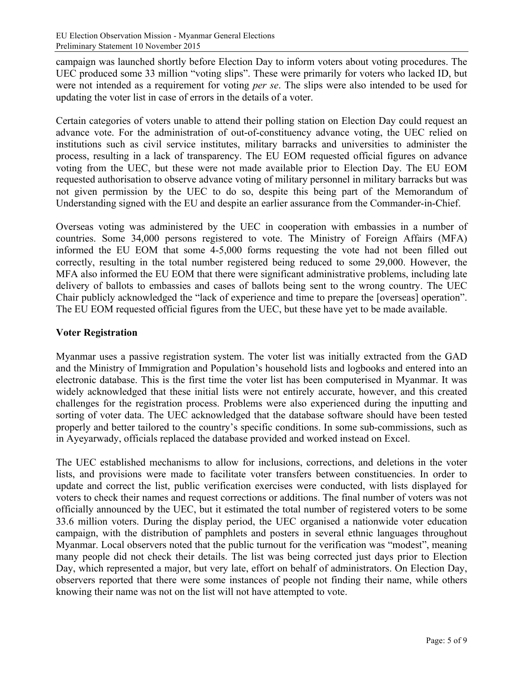campaign was launched shortly before Election Day to inform voters about voting procedures. The UEC produced some 33 million "voting slips". These were primarily for voters who lacked ID, but were not intended as a requirement for voting *per se*. The slips were also intended to be used for updating the voter list in case of errors in the details of a voter.

Certain categories of voters unable to attend their polling station on Election Day could request an advance vote. For the administration of out-of-constituency advance voting, the UEC relied on institutions such as civil service institutes, military barracks and universities to administer the process, resulting in a lack of transparency. The EU EOM requested official figures on advance voting from the UEC, but these were not made available prior to Election Day. The EU EOM requested authorisation to observe advance voting of military personnel in military barracks but was not given permission by the UEC to do so, despite this being part of the Memorandum of Understanding signed with the EU and despite an earlier assurance from the Commander-in-Chief.

Overseas voting was administered by the UEC in cooperation with embassies in a number of countries. Some 34,000 persons registered to vote. The Ministry of Foreign Affairs (MFA) informed the EU EOM that some 4-5,000 forms requesting the vote had not been filled out correctly, resulting in the total number registered being reduced to some 29,000. However, the MFA also informed the EU EOM that there were significant administrative problems, including late delivery of ballots to embassies and cases of ballots being sent to the wrong country. The UEC Chair publicly acknowledged the "lack of experience and time to prepare the [overseas] operation". The EU EOM requested official figures from the UEC, but these have yet to be made available.

## **Voter Registration**

Myanmar uses a passive registration system. The voter list was initially extracted from the GAD and the Ministry of Immigration and Population's household lists and logbooks and entered into an electronic database. This is the first time the voter list has been computerised in Myanmar. It was widely acknowledged that these initial lists were not entirely accurate, however, and this created challenges for the registration process. Problems were also experienced during the inputting and sorting of voter data. The UEC acknowledged that the database software should have been tested properly and better tailored to the country's specific conditions. In some sub-commissions, such as in Ayeyarwady, officials replaced the database provided and worked instead on Excel.

The UEC established mechanisms to allow for inclusions, corrections, and deletions in the voter lists, and provisions were made to facilitate voter transfers between constituencies. In order to update and correct the list, public verification exercises were conducted, with lists displayed for voters to check their names and request corrections or additions. The final number of voters was not officially announced by the UEC, but it estimated the total number of registered voters to be some 33.6 million voters. During the display period, the UEC organised a nationwide voter education campaign, with the distribution of pamphlets and posters in several ethnic languages throughout Myanmar. Local observers noted that the public turnout for the verification was "modest", meaning many people did not check their details. The list was being corrected just days prior to Election Day, which represented a major, but very late, effort on behalf of administrators. On Election Day, observers reported that there were some instances of people not finding their name, while others knowing their name was not on the list will not have attempted to vote.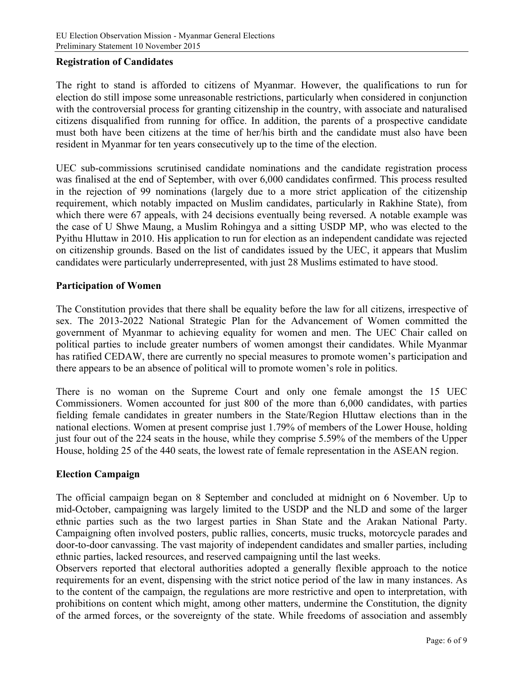#### **Registration of Candidates**

The right to stand is afforded to citizens of Myanmar. However, the qualifications to run for election do still impose some unreasonable restrictions, particularly when considered in conjunction with the controversial process for granting citizenship in the country, with associate and naturalised citizens disqualified from running for office. In addition, the parents of a prospective candidate must both have been citizens at the time of her/his birth and the candidate must also have been resident in Myanmar for ten years consecutively up to the time of the election.

UEC sub-commissions scrutinised candidate nominations and the candidate registration process was finalised at the end of September, with over 6,000 candidates confirmed. This process resulted in the rejection of 99 nominations (largely due to a more strict application of the citizenship requirement, which notably impacted on Muslim candidates, particularly in Rakhine State), from which there were 67 appeals, with 24 decisions eventually being reversed. A notable example was the case of U Shwe Maung, a Muslim Rohingya and a sitting USDP MP, who was elected to the Pyithu Hluttaw in 2010. His application to run for election as an independent candidate was rejected on citizenship grounds. Based on the list of candidates issued by the UEC, it appears that Muslim candidates were particularly underrepresented, with just 28 Muslims estimated to have stood.

#### **Participation of Women**

The Constitution provides that there shall be equality before the law for all citizens, irrespective of sex. The 2013-2022 National Strategic Plan for the Advancement of Women committed the government of Myanmar to achieving equality for women and men. The UEC Chair called on political parties to include greater numbers of women amongst their candidates. While Myanmar has ratified CEDAW, there are currently no special measures to promote women's participation and there appears to be an absence of political will to promote women's role in politics.

There is no woman on the Supreme Court and only one female amongst the 15 UEC Commissioners. Women accounted for just 800 of the more than 6,000 candidates, with parties fielding female candidates in greater numbers in the State/Region Hluttaw elections than in the national elections. Women at present comprise just 1.79% of members of the Lower House, holding just four out of the 224 seats in the house, while they comprise 5.59% of the members of the Upper House, holding 25 of the 440 seats, the lowest rate of female representation in the ASEAN region.

## **Election Campaign**

The official campaign began on 8 September and concluded at midnight on 6 November. Up to mid-October, campaigning was largely limited to the USDP and the NLD and some of the larger ethnic parties such as the two largest parties in Shan State and the Arakan National Party. Campaigning often involved posters, public rallies, concerts, music trucks, motorcycle parades and door-to-door canvassing. The vast majority of independent candidates and smaller parties, including ethnic parties, lacked resources, and reserved campaigning until the last weeks.

Observers reported that electoral authorities adopted a generally flexible approach to the notice requirements for an event, dispensing with the strict notice period of the law in many instances. As to the content of the campaign, the regulations are more restrictive and open to interpretation, with prohibitions on content which might, among other matters, undermine the Constitution, the dignity of the armed forces, or the sovereignty of the state. While freedoms of association and assembly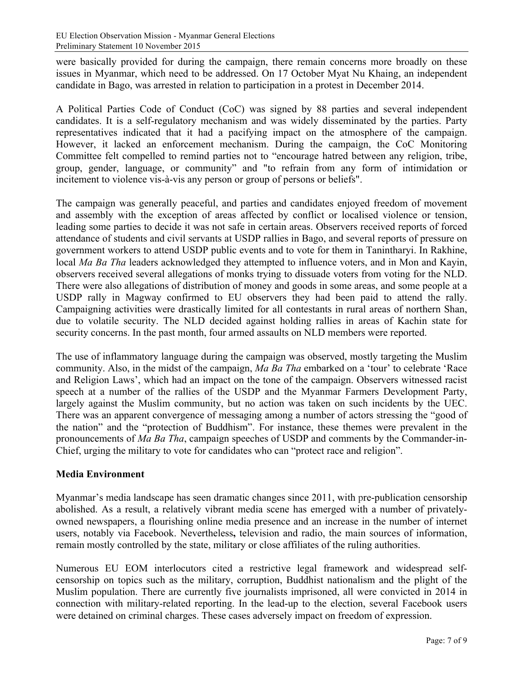were basically provided for during the campaign, there remain concerns more broadly on these issues in Myanmar, which need to be addressed. On 17 October Myat Nu Khaing, an independent candidate in Bago, was arrested in relation to participation in a protest in December 2014.

A Political Parties Code of Conduct (CoC) was signed by 88 parties and several independent candidates. It is a self-regulatory mechanism and was widely disseminated by the parties. Party representatives indicated that it had a pacifying impact on the atmosphere of the campaign. However, it lacked an enforcement mechanism. During the campaign, the CoC Monitoring Committee felt compelled to remind parties not to "encourage hatred between any religion, tribe, group, gender, language, or community" and "to refrain from any form of intimidation or incitement to violence vis-à-vis any person or group of persons or beliefs".

The campaign was generally peaceful, and parties and candidates enjoyed freedom of movement and assembly with the exception of areas affected by conflict or localised violence or tension, leading some parties to decide it was not safe in certain areas. Observers received reports of forced attendance of students and civil servants at USDP rallies in Bago, and several reports of pressure on government workers to attend USDP public events and to vote for them in Tanintharyi. In Rakhine, local *Ma Ba Tha* leaders acknowledged they attempted to influence voters, and in Mon and Kayin, observers received several allegations of monks trying to dissuade voters from voting for the NLD. There were also allegations of distribution of money and goods in some areas, and some people at a USDP rally in Magway confirmed to EU observers they had been paid to attend the rally. Campaigning activities were drastically limited for all contestants in rural areas of northern Shan, due to volatile security. The NLD decided against holding rallies in areas of Kachin state for security concerns. In the past month, four armed assaults on NLD members were reported.

The use of inflammatory language during the campaign was observed, mostly targeting the Muslim community. Also, in the midst of the campaign, *Ma Ba Tha* embarked on a 'tour' to celebrate 'Race and Religion Laws', which had an impact on the tone of the campaign. Observers witnessed racist speech at a number of the rallies of the USDP and the Myanmar Farmers Development Party, largely against the Muslim community, but no action was taken on such incidents by the UEC. There was an apparent convergence of messaging among a number of actors stressing the "good of the nation" and the "protection of Buddhism". For instance, these themes were prevalent in the pronouncements of *Ma Ba Tha*, campaign speeches of USDP and comments by the Commander-in-Chief, urging the military to vote for candidates who can "protect race and religion".

## **Media Environment**

Myanmar's media landscape has seen dramatic changes since 2011, with pre-publication censorship abolished. As a result, a relatively vibrant media scene has emerged with a number of privatelyowned newspapers, a flourishing online media presence and an increase in the number of internet users, notably via Facebook. Nevertheless**,** television and radio, the main sources of information, remain mostly controlled by the state, military or close affiliates of the ruling authorities.

Numerous EU EOM interlocutors cited a restrictive legal framework and widespread selfcensorship on topics such as the military, corruption, Buddhist nationalism and the plight of the Muslim population. There are currently five journalists imprisoned, all were convicted in 2014 in connection with military-related reporting. In the lead-up to the election, several Facebook users were detained on criminal charges. These cases adversely impact on freedom of expression.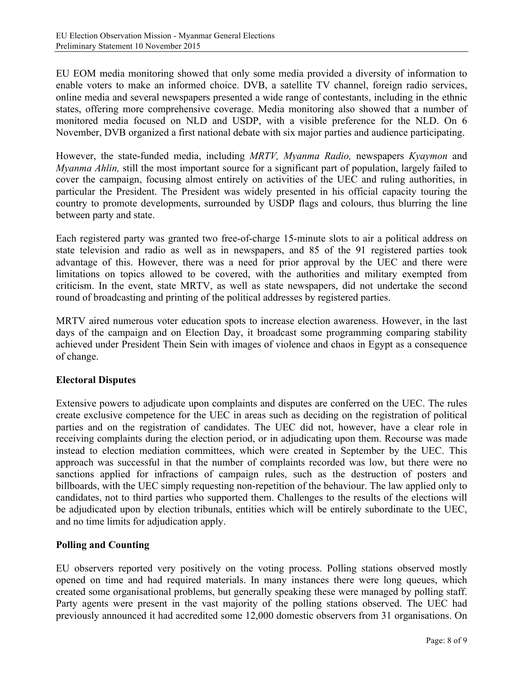EU EOM media monitoring showed that only some media provided a diversity of information to enable voters to make an informed choice. DVB, a satellite TV channel, foreign radio services, online media and several newspapers presented a wide range of contestants, including in the ethnic states, offering more comprehensive coverage. Media monitoring also showed that a number of monitored media focused on NLD and USDP, with a visible preference for the NLD. On 6 November, DVB organized a first national debate with six major parties and audience participating.

However, the state-funded media, including *MRTV, Myanma Radio,* newspapers *Kyaymon* and *Myanma Ahlin,* still the most important source for a significant part of population, largely failed to cover the campaign, focusing almost entirely on activities of the UEC and ruling authorities, in particular the President. The President was widely presented in his official capacity touring the country to promote developments, surrounded by USDP flags and colours, thus blurring the line between party and state.

Each registered party was granted two free-of-charge 15-minute slots to air a political address on state television and radio as well as in newspapers, and 85 of the 91 registered parties took advantage of this. However, there was a need for prior approval by the UEC and there were limitations on topics allowed to be covered, with the authorities and military exempted from criticism. In the event, state MRTV, as well as state newspapers, did not undertake the second round of broadcasting and printing of the political addresses by registered parties.

MRTV aired numerous voter education spots to increase election awareness. However, in the last days of the campaign and on Election Day, it broadcast some programming comparing stability achieved under President Thein Sein with images of violence and chaos in Egypt as a consequence of change.

## **Electoral Disputes**

Extensive powers to adjudicate upon complaints and disputes are conferred on the UEC. The rules create exclusive competence for the UEC in areas such as deciding on the registration of political parties and on the registration of candidates. The UEC did not, however, have a clear role in receiving complaints during the election period, or in adjudicating upon them. Recourse was made instead to election mediation committees, which were created in September by the UEC. This approach was successful in that the number of complaints recorded was low, but there were no sanctions applied for infractions of campaign rules, such as the destruction of posters and billboards, with the UEC simply requesting non-repetition of the behaviour. The law applied only to candidates, not to third parties who supported them. Challenges to the results of the elections will be adjudicated upon by election tribunals, entities which will be entirely subordinate to the UEC, and no time limits for adjudication apply.

## **Polling and Counting**

EU observers reported very positively on the voting process. Polling stations observed mostly opened on time and had required materials. In many instances there were long queues, which created some organisational problems, but generally speaking these were managed by polling staff. Party agents were present in the vast majority of the polling stations observed. The UEC had previously announced it had accredited some 12,000 domestic observers from 31 organisations. On